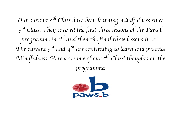*Our current 5th Class have been learning mindfulness since 3rd Class. They covered the first three lessons of the Paws.b programme in 3rd and then the final three lessons in 4th. The current 3rd and 4th are continuing to learn and practice Mindfulness. Here are some of our 5th Class*' *thoughts on the* 

*programme:*

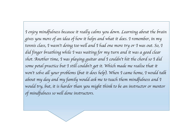*I enjoy mindfulness because it really calms you down. Learning about the brain gives you more of an idea of how it helps and what it does. I remember, in my tennis class, I wasn*'*t doing too well and I had one more try or I was out. So, I did finger breathing while I was waiting for my turn and it was a good clear shot. Another time, I was playing guitar and I couldn*'*t hit the chord so I did some petal practice but I still couldn*'*t get it. Which made me realise that it won*'*t solve all your problems* (*but it does help*)*. When I came home, I would talk about my day and my family would ask me to teach them mindfulness and I*  would try, but, it is harder than you might think to be an instructor or mentor *of mindfulness so well done instructors.*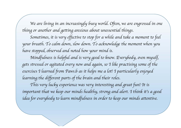We are living in an increasingly busy world. Often, we are engrossed in one *thing or another and getting anxious about unessential things.*

*Sometimes, it is very effective to stop for a while and take a moment to feel your breath. To calm down, slow down. To acknowledge the moment when you have stopped, observed and noted how your mind is.* 

*Mindfulness is helpful and is very good to know. Everybody, even myself, gets stressed or agitated every now and again, so I like practising some of the exercises I learned from Paws.b as it helps me a lot! I particularly enjoyed learning the different parts of the brain and their roles.*

*This very lucky experience was very interesting and great fun! It is important that we keep our minds healthy, strong and alert. I think it*'*s a good*  idea for everybody to learn mindfulness in order to keep our minds attentive.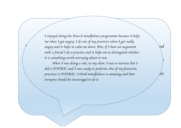*Mindfulness helps me during sports. Sometimes, I have basketball matches and angry and it helps to calm me down. Also, if I have an argument*  with a friend I do a practice and it helps me to distinguish whether  $\setminus$ *I enjoyed doing the Paws.b mindfulness programme because it helps me when I get angry. I do one of my practices when I get really it is something worth worrying about or not.* 

realis sementing weren were ging about er not. *and I find it very peaceful. I think it*'*s really important that we learn how to did a FOFBOC and I was ready to perform. One of my favourite look after our minds to keep us safe, healthy and concentrate on the important practices is FOFBOC. I think mindfulness is amazing and that things in life. everyone should be encouraged to do it.When I was doing a solo, in my show, I was so nervous but I*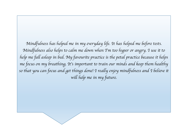*Mindfulness has helped me in my everyday life. It has helped me before tests. Mindfulness also helps to calm me down when I*'*m too hyper or angry. I use it to help me fall asleep in bed. My favourite practice is the petal practice because it helps me focus on my breathing. It*'*s important to train our minds and keep them healthy so that you can focus and get things done! I really enjoy mindfulness and I believe it will help me in my future.*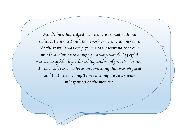*Mings*, *fusituled with homework or when I am hervous. me relax and remind myself that everything is going to be fine. My families to a puppy – always wander ing off: 1 breathing*'*. I have taught my 7 year old cousin, she now enjoys doing it on a daily basis. I think mindfulness is*  and that was moving. I am teaching my sister some *notice when your moment. The start it was easy for me to understand that our* wind was similar to a munny - always wandering off g *before all of my big tests in school. I used mindfulness with my mum when she was stressed out, we sat down together and did a FOFBOC. She said that it helped her calm down. My favourite practice is* '*finger breathing*'*. Mindfulness has helped me when I was mad with my siblings, frustrated with homework or when I am nervous. At the start, it was easy for me to understand that our mind was similar to a puppy* – *always wandering off! I particularly like finger breathing and petal practice because it was much easier to focus on something that was physical and that was moving. I am teaching my sister some mindfulness at the moment.*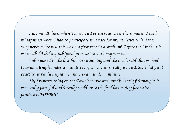*I use mindfulness when I*'*m worried or nervous. Over the summer, I used mindfulness when I had to participate in a race for my athletics club. I was very nervous because this was my first race in a stadium! Before the Under 11*'*s were called I did a quick* '*petal practice*' *to settle my nerves.*

*I also moved to the last lane in swimming and the coach said that we had to swim a length under a minute every time! I was really worried. So, I did petal practice, it really helped me and I swam under a minute!*

*My favourite thing on the Paws.b course was mindful eating! I thought it*  was really peaceful and I really could taste the food better. My favourite *practice is FOFBOC.*